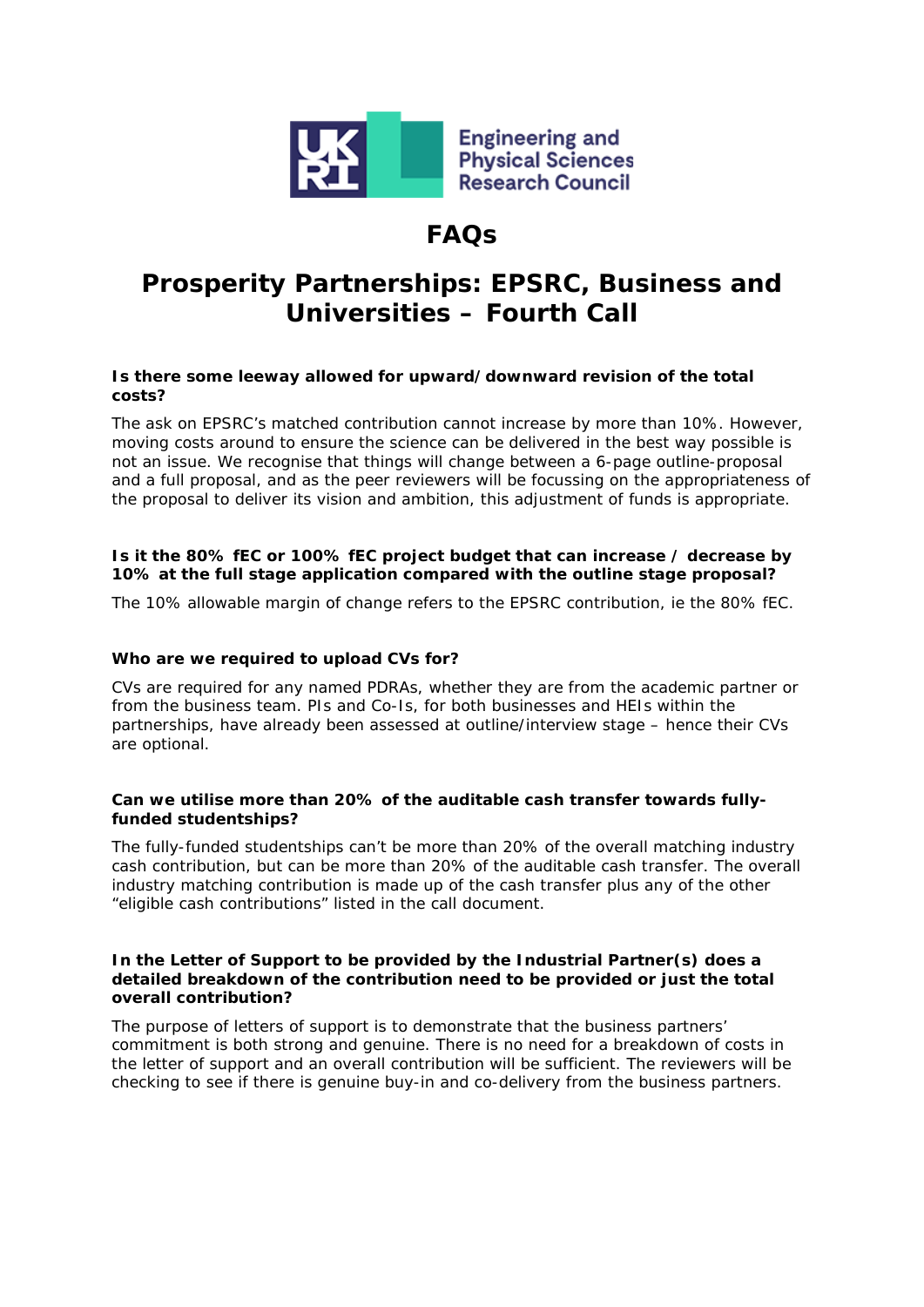

## **FAQs**

# **Prosperity Partnerships: EPSRC, Business and Universities – Fourth Call**

## **Is there some leeway allowed for upward/downward revision of the total costs?**

The ask on EPSRC's matched contribution cannot increase by more than 10%. However, moving costs around to ensure the science can be delivered in the best way possible is not an issue. We recognise that things will change between a 6-page outline-proposal and a full proposal, and as the peer reviewers will be focussing on the appropriateness of the proposal to deliver its vision and ambition, this adjustment of funds is appropriate.

## **Is it the 80% fEC or 100% fEC project budget that can increase / decrease by 10% at the full stage application compared with the outline stage proposal?**

The 10% allowable margin of change refers to the EPSRC contribution, ie the 80% fEC.

## **Who are we required to upload CVs for?**

CVs are *required* for any named PDRAs, whether they are from the academic partner or from the business team. PIs and Co-Is, for both businesses and HEIs within the partnerships, have already been assessed at outline/interview stage – hence their CVs are *optional*.

### **Can we utilise more than 20% of the auditable cash transfer towards fullyfunded studentships?**

The fully-funded studentships can't be more than 20% of the *overall* matching industry cash contribution, but can be more than 20% of the auditable cash transfer. The overall industry matching contribution is made up of the cash transfer plus any of the other "eligible cash contributions" listed in the call document.

#### **In the Letter of Support to be provided by the Industrial Partner(s) does a detailed breakdown of the contribution need to be provided or just the total overall contribution?**

The purpose of letters of support is to demonstrate that the business partners' commitment is both strong and genuine. There is no need for a breakdown of costs in the letter of support and an overall contribution will be sufficient. The reviewers will be checking to see if there is genuine buy-in and co-delivery from the business partners.